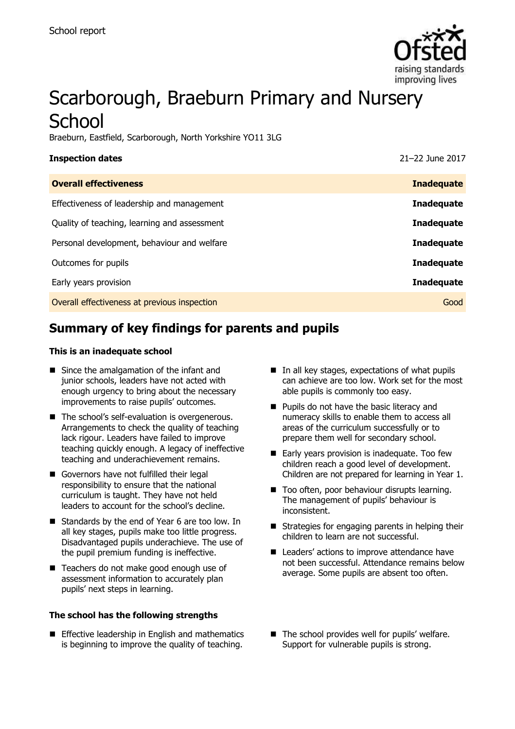

# Scarborough, Braeburn Primary and Nursery **School**

Braeburn, Eastfield, Scarborough, North Yorkshire YO11 3LG

| <b>Overall effectiveness</b><br>Effectiveness of leadership and management | <b>Inspection dates</b> | 21-22 June 2017   |
|----------------------------------------------------------------------------|-------------------------|-------------------|
|                                                                            |                         | <b>Inadequate</b> |
|                                                                            |                         | <b>Inadequate</b> |
| Quality of teaching, learning and assessment                               |                         | <b>Inadequate</b> |
| Personal development, behaviour and welfare                                |                         | <b>Inadequate</b> |
| Outcomes for pupils                                                        |                         | <b>Inadequate</b> |
| Early years provision                                                      |                         | <b>Inadequate</b> |
| Overall effectiveness at previous inspection                               |                         | Good              |

# **Summary of key findings for parents and pupils**

#### **This is an inadequate school**

- Since the amalgamation of the infant and junior schools, leaders have not acted with enough urgency to bring about the necessary improvements to raise pupils' outcomes.
- The school's self-evaluation is overgenerous. Arrangements to check the quality of teaching lack rigour. Leaders have failed to improve teaching quickly enough. A legacy of ineffective teaching and underachievement remains.
- Governors have not fulfilled their legal responsibility to ensure that the national curriculum is taught. They have not held leaders to account for the school's decline.
- Standards by the end of Year 6 are too low. In all key stages, pupils make too little progress. Disadvantaged pupils underachieve. The use of the pupil premium funding is ineffective.
- Teachers do not make good enough use of assessment information to accurately plan pupils' next steps in learning.

#### **The school has the following strengths**

**Effective leadership in English and mathematics** is beginning to improve the quality of teaching.

- $\blacksquare$  In all key stages, expectations of what pupils can achieve are too low. Work set for the most able pupils is commonly too easy.
- **Pupils do not have the basic literacy and** numeracy skills to enable them to access all areas of the curriculum successfully or to prepare them well for secondary school.
- Early years provision is inadequate. Too few children reach a good level of development. Children are not prepared for learning in Year 1.
- Too often, poor behaviour disrupts learning. The management of pupils' behaviour is inconsistent.
- Strategies for engaging parents in helping their children to learn are not successful.
- Leaders' actions to improve attendance have not been successful. Attendance remains below average. Some pupils are absent too often.
- The school provides well for pupils' welfare. Support for vulnerable pupils is strong.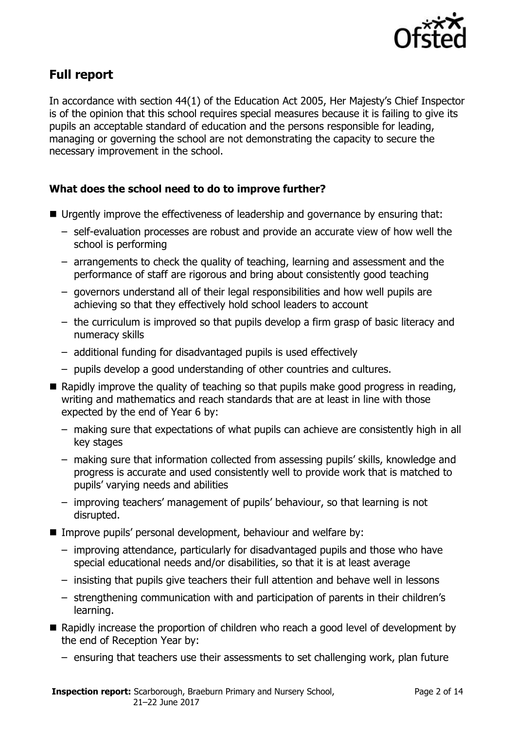

# **Full report**

In accordance with section 44(1) of the Education Act 2005, Her Majesty's Chief Inspector is of the opinion that this school requires special measures because it is failing to give its pupils an acceptable standard of education and the persons responsible for leading, managing or governing the school are not demonstrating the capacity to secure the necessary improvement in the school.

### **What does the school need to do to improve further?**

- Urgently improve the effectiveness of leadership and governance by ensuring that:
	- self-evaluation processes are robust and provide an accurate view of how well the school is performing
	- arrangements to check the quality of teaching, learning and assessment and the performance of staff are rigorous and bring about consistently good teaching
	- governors understand all of their legal responsibilities and how well pupils are achieving so that they effectively hold school leaders to account
	- the curriculum is improved so that pupils develop a firm grasp of basic literacy and numeracy skills
	- additional funding for disadvantaged pupils is used effectively
	- pupils develop a good understanding of other countries and cultures.
- $\blacksquare$  Rapidly improve the quality of teaching so that pupils make good progress in reading, writing and mathematics and reach standards that are at least in line with those expected by the end of Year 6 by:
	- making sure that expectations of what pupils can achieve are consistently high in all key stages
	- making sure that information collected from assessing pupils' skills, knowledge and progress is accurate and used consistently well to provide work that is matched to pupils' varying needs and abilities
	- improving teachers' management of pupils' behaviour, so that learning is not disrupted.
- Improve pupils' personal development, behaviour and welfare by:
	- improving attendance, particularly for disadvantaged pupils and those who have special educational needs and/or disabilities, so that it is at least average
	- insisting that pupils give teachers their full attention and behave well in lessons
	- strengthening communication with and participation of parents in their children's learning.
- Rapidly increase the proportion of children who reach a good level of development by the end of Reception Year by:
	- ensuring that teachers use their assessments to set challenging work, plan future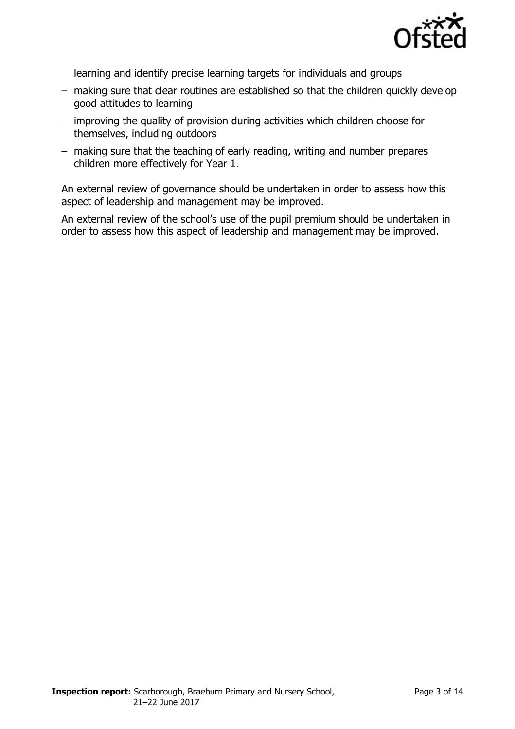

learning and identify precise learning targets for individuals and groups

- making sure that clear routines are established so that the children quickly develop good attitudes to learning
- improving the quality of provision during activities which children choose for themselves, including outdoors
- making sure that the teaching of early reading, writing and number prepares children more effectively for Year 1.

An external review of governance should be undertaken in order to assess how this aspect of leadership and management may be improved.

An external review of the school's use of the pupil premium should be undertaken in order to assess how this aspect of leadership and management may be improved.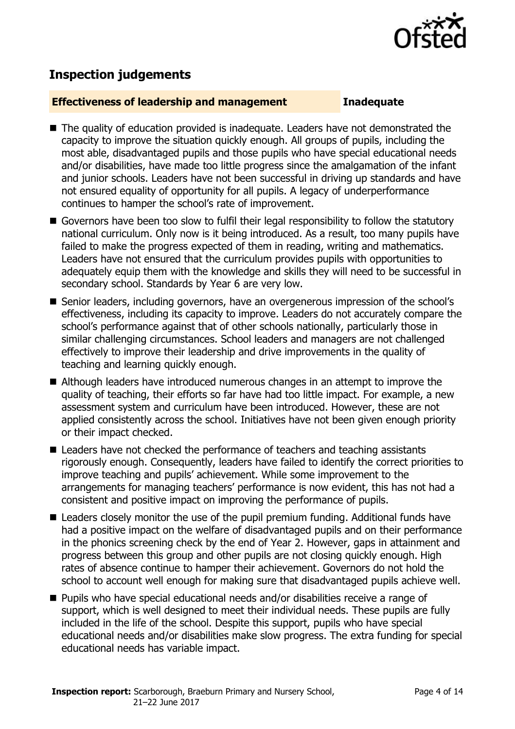

# **Inspection judgements**

#### **Effectiveness of leadership and management Inadequate**

- The quality of education provided is inadequate. Leaders have not demonstrated the capacity to improve the situation quickly enough. All groups of pupils, including the most able, disadvantaged pupils and those pupils who have special educational needs and/or disabilities, have made too little progress since the amalgamation of the infant and junior schools. Leaders have not been successful in driving up standards and have not ensured equality of opportunity for all pupils. A legacy of underperformance continues to hamper the school's rate of improvement.
- Governors have been too slow to fulfil their legal responsibility to follow the statutory national curriculum. Only now is it being introduced. As a result, too many pupils have failed to make the progress expected of them in reading, writing and mathematics. Leaders have not ensured that the curriculum provides pupils with opportunities to adequately equip them with the knowledge and skills they will need to be successful in secondary school. Standards by Year 6 are very low.
- Senior leaders, including governors, have an overgenerous impression of the school's effectiveness, including its capacity to improve. Leaders do not accurately compare the school's performance against that of other schools nationally, particularly those in similar challenging circumstances. School leaders and managers are not challenged effectively to improve their leadership and drive improvements in the quality of teaching and learning quickly enough.
- Although leaders have introduced numerous changes in an attempt to improve the quality of teaching, their efforts so far have had too little impact. For example, a new assessment system and curriculum have been introduced. However, these are not applied consistently across the school. Initiatives have not been given enough priority or their impact checked.
- Leaders have not checked the performance of teachers and teaching assistants rigorously enough. Consequently, leaders have failed to identify the correct priorities to improve teaching and pupils' achievement. While some improvement to the arrangements for managing teachers' performance is now evident, this has not had a consistent and positive impact on improving the performance of pupils.
- Leaders closely monitor the use of the pupil premium funding. Additional funds have had a positive impact on the welfare of disadvantaged pupils and on their performance in the phonics screening check by the end of Year 2. However, gaps in attainment and progress between this group and other pupils are not closing quickly enough. High rates of absence continue to hamper their achievement. Governors do not hold the school to account well enough for making sure that disadvantaged pupils achieve well.
- Pupils who have special educational needs and/or disabilities receive a range of support, which is well designed to meet their individual needs. These pupils are fully included in the life of the school. Despite this support, pupils who have special educational needs and/or disabilities make slow progress. The extra funding for special educational needs has variable impact.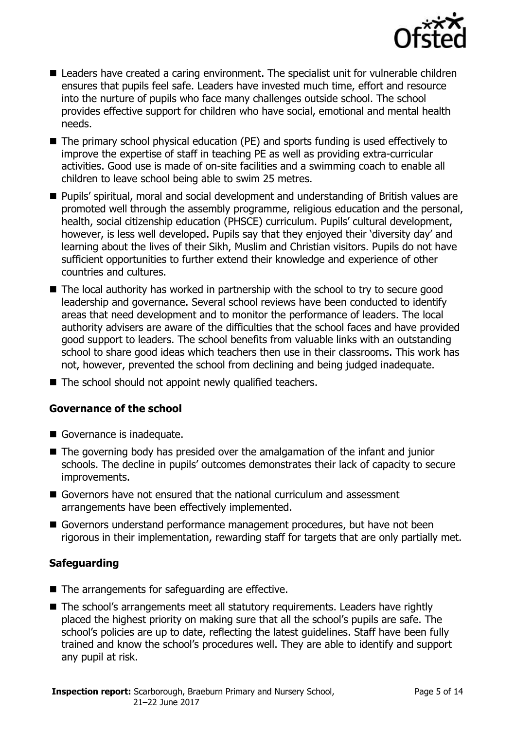

- Leaders have created a caring environment. The specialist unit for vulnerable children ensures that pupils feel safe. Leaders have invested much time, effort and resource into the nurture of pupils who face many challenges outside school. The school provides effective support for children who have social, emotional and mental health needs.
- The primary school physical education (PE) and sports funding is used effectively to improve the expertise of staff in teaching PE as well as providing extra-curricular activities. Good use is made of on-site facilities and a swimming coach to enable all children to leave school being able to swim 25 metres.
- Pupils' spiritual, moral and social development and understanding of British values are promoted well through the assembly programme, religious education and the personal, health, social citizenship education (PHSCE) curriculum. Pupils' cultural development, however, is less well developed. Pupils say that they enjoyed their 'diversity day' and learning about the lives of their Sikh, Muslim and Christian visitors. Pupils do not have sufficient opportunities to further extend their knowledge and experience of other countries and cultures.
- The local authority has worked in partnership with the school to try to secure good leadership and governance. Several school reviews have been conducted to identify areas that need development and to monitor the performance of leaders. The local authority advisers are aware of the difficulties that the school faces and have provided good support to leaders. The school benefits from valuable links with an outstanding school to share good ideas which teachers then use in their classrooms. This work has not, however, prevented the school from declining and being judged inadequate.
- The school should not appoint newly qualified teachers.

### **Governance of the school**

- Governance is inadequate.
- The governing body has presided over the amalgamation of the infant and junior schools. The decline in pupils' outcomes demonstrates their lack of capacity to secure improvements.
- Governors have not ensured that the national curriculum and assessment arrangements have been effectively implemented.
- Governors understand performance management procedures, but have not been rigorous in their implementation, rewarding staff for targets that are only partially met.

### **Safeguarding**

- The arrangements for safeguarding are effective.
- The school's arrangements meet all statutory requirements. Leaders have rightly placed the highest priority on making sure that all the school's pupils are safe. The school's policies are up to date, reflecting the latest guidelines. Staff have been fully trained and know the school's procedures well. They are able to identify and support any pupil at risk.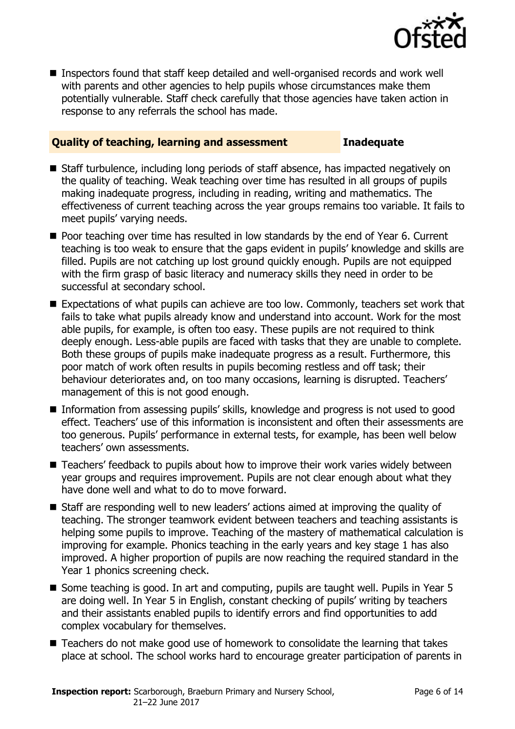

■ Inspectors found that staff keep detailed and well-organised records and work well with parents and other agencies to help pupils whose circumstances make them potentially vulnerable. Staff check carefully that those agencies have taken action in response to any referrals the school has made.

### **Quality of teaching, learning and assessment Inadequate**

- Staff turbulence, including long periods of staff absence, has impacted negatively on the quality of teaching. Weak teaching over time has resulted in all groups of pupils making inadequate progress, including in reading, writing and mathematics. The effectiveness of current teaching across the year groups remains too variable. It fails to meet pupils' varying needs.
- Poor teaching over time has resulted in low standards by the end of Year 6. Current teaching is too weak to ensure that the gaps evident in pupils' knowledge and skills are filled. Pupils are not catching up lost ground quickly enough. Pupils are not equipped with the firm grasp of basic literacy and numeracy skills they need in order to be successful at secondary school.
- Expectations of what pupils can achieve are too low. Commonly, teachers set work that fails to take what pupils already know and understand into account. Work for the most able pupils, for example, is often too easy. These pupils are not required to think deeply enough. Less-able pupils are faced with tasks that they are unable to complete. Both these groups of pupils make inadequate progress as a result. Furthermore, this poor match of work often results in pupils becoming restless and off task; their behaviour deteriorates and, on too many occasions, learning is disrupted. Teachers' management of this is not good enough.
- Information from assessing pupils' skills, knowledge and progress is not used to good effect. Teachers' use of this information is inconsistent and often their assessments are too generous. Pupils' performance in external tests, for example, has been well below teachers' own assessments.
- Teachers' feedback to pupils about how to improve their work varies widely between year groups and requires improvement. Pupils are not clear enough about what they have done well and what to do to move forward.
- Staff are responding well to new leaders' actions aimed at improving the quality of teaching. The stronger teamwork evident between teachers and teaching assistants is helping some pupils to improve. Teaching of the mastery of mathematical calculation is improving for example. Phonics teaching in the early years and key stage 1 has also improved. A higher proportion of pupils are now reaching the required standard in the Year 1 phonics screening check.
- Some teaching is good. In art and computing, pupils are taught well. Pupils in Year 5 are doing well. In Year 5 in English, constant checking of pupils' writing by teachers and their assistants enabled pupils to identify errors and find opportunities to add complex vocabulary for themselves.
- Teachers do not make good use of homework to consolidate the learning that takes place at school. The school works hard to encourage greater participation of parents in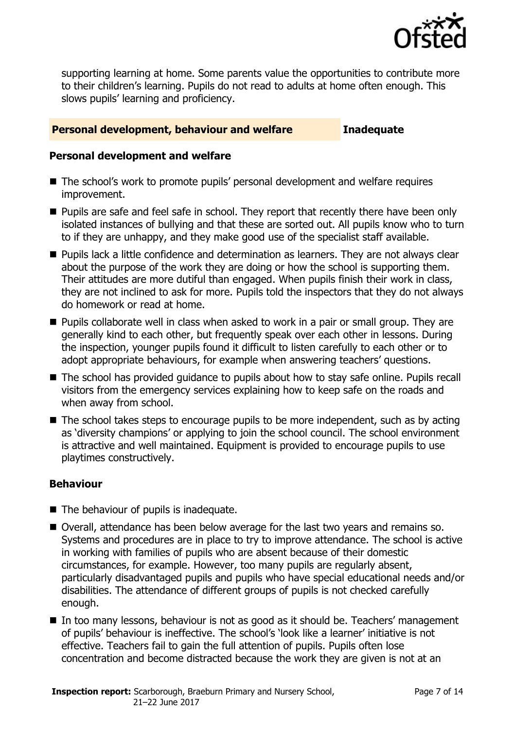

supporting learning at home. Some parents value the opportunities to contribute more to their children's learning. Pupils do not read to adults at home often enough. This slows pupils' learning and proficiency.

#### **Personal development, behaviour and welfare Inadequate**

#### **Personal development and welfare**

- The school's work to promote pupils' personal development and welfare requires improvement.
- **Pupils are safe and feel safe in school. They report that recently there have been only** isolated instances of bullying and that these are sorted out. All pupils know who to turn to if they are unhappy, and they make good use of the specialist staff available.
- **Pupils lack a little confidence and determination as learners. They are not always clear** about the purpose of the work they are doing or how the school is supporting them. Their attitudes are more dutiful than engaged. When pupils finish their work in class, they are not inclined to ask for more. Pupils told the inspectors that they do not always do homework or read at home.
- Pupils collaborate well in class when asked to work in a pair or small group. They are generally kind to each other, but frequently speak over each other in lessons. During the inspection, younger pupils found it difficult to listen carefully to each other or to adopt appropriate behaviours, for example when answering teachers' questions.
- The school has provided guidance to pupils about how to stay safe online. Pupils recall visitors from the emergency services explaining how to keep safe on the roads and when away from school.
- $\blacksquare$  The school takes steps to encourage pupils to be more independent, such as by acting as 'diversity champions' or applying to join the school council. The school environment is attractive and well maintained. Equipment is provided to encourage pupils to use playtimes constructively.

#### **Behaviour**

- The behaviour of pupils is inadequate.
- Overall, attendance has been below average for the last two vears and remains so. Systems and procedures are in place to try to improve attendance. The school is active in working with families of pupils who are absent because of their domestic circumstances, for example. However, too many pupils are regularly absent, particularly disadvantaged pupils and pupils who have special educational needs and/or disabilities. The attendance of different groups of pupils is not checked carefully enough.
- In too many lessons, behaviour is not as good as it should be. Teachers' management of pupils' behaviour is ineffective. The school's 'look like a learner' initiative is not effective. Teachers fail to gain the full attention of pupils. Pupils often lose concentration and become distracted because the work they are given is not at an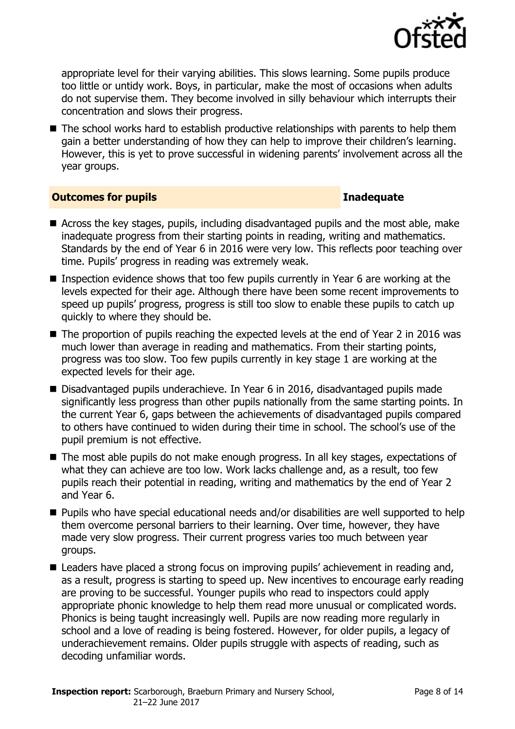

appropriate level for their varying abilities. This slows learning. Some pupils produce too little or untidy work. Boys, in particular, make the most of occasions when adults do not supervise them. They become involved in silly behaviour which interrupts their concentration and slows their progress.

■ The school works hard to establish productive relationships with parents to help them gain a better understanding of how they can help to improve their children's learning. However, this is yet to prove successful in widening parents' involvement across all the year groups.

#### **Outcomes for pupils Inadequate**

- Across the key stages, pupils, including disadvantaged pupils and the most able, make inadequate progress from their starting points in reading, writing and mathematics. Standards by the end of Year 6 in 2016 were very low. This reflects poor teaching over time. Pupils' progress in reading was extremely weak.
- **Inspection evidence shows that too few pupils currently in Year 6 are working at the** levels expected for their age. Although there have been some recent improvements to speed up pupils' progress, progress is still too slow to enable these pupils to catch up quickly to where they should be.
- The proportion of pupils reaching the expected levels at the end of Year 2 in 2016 was much lower than average in reading and mathematics. From their starting points, progress was too slow. Too few pupils currently in key stage 1 are working at the expected levels for their age.
- Disadvantaged pupils underachieve. In Year 6 in 2016, disadvantaged pupils made significantly less progress than other pupils nationally from the same starting points. In the current Year 6, gaps between the achievements of disadvantaged pupils compared to others have continued to widen during their time in school. The school's use of the pupil premium is not effective.
- The most able pupils do not make enough progress. In all key stages, expectations of what they can achieve are too low. Work lacks challenge and, as a result, too few pupils reach their potential in reading, writing and mathematics by the end of Year 2 and Year 6.
- **Pupils who have special educational needs and/or disabilities are well supported to help** them overcome personal barriers to their learning. Over time, however, they have made very slow progress. Their current progress varies too much between year groups.
- Leaders have placed a strong focus on improving pupils' achievement in reading and, as a result, progress is starting to speed up. New incentives to encourage early reading are proving to be successful. Younger pupils who read to inspectors could apply appropriate phonic knowledge to help them read more unusual or complicated words. Phonics is being taught increasingly well. Pupils are now reading more regularly in school and a love of reading is being fostered. However, for older pupils, a legacy of underachievement remains. Older pupils struggle with aspects of reading, such as decoding unfamiliar words.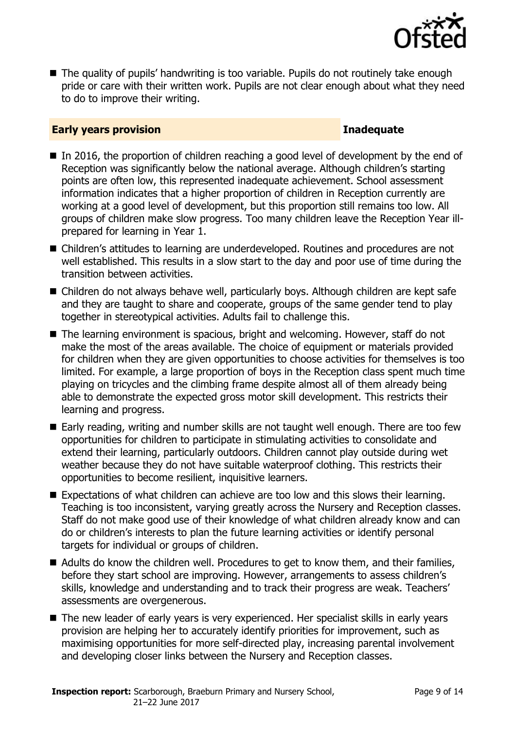

■ The quality of pupils' handwriting is too variable. Pupils do not routinely take enough pride or care with their written work. Pupils are not clear enough about what they need to do to improve their writing.

#### **Early years provision Inadequate**

- In 2016, the proportion of children reaching a good level of development by the end of Reception was significantly below the national average. Although children's starting points are often low, this represented inadequate achievement. School assessment information indicates that a higher proportion of children in Reception currently are working at a good level of development, but this proportion still remains too low. All groups of children make slow progress. Too many children leave the Reception Year illprepared for learning in Year 1.
- Children's attitudes to learning are underdeveloped. Routines and procedures are not well established. This results in a slow start to the day and poor use of time during the transition between activities.
- Children do not always behave well, particularly boys. Although children are kept safe and they are taught to share and cooperate, groups of the same gender tend to play together in stereotypical activities. Adults fail to challenge this.
- The learning environment is spacious, bright and welcoming. However, staff do not make the most of the areas available. The choice of equipment or materials provided for children when they are given opportunities to choose activities for themselves is too limited. For example, a large proportion of boys in the Reception class spent much time playing on tricycles and the climbing frame despite almost all of them already being able to demonstrate the expected gross motor skill development. This restricts their learning and progress.
- Early reading, writing and number skills are not taught well enough. There are too few opportunities for children to participate in stimulating activities to consolidate and extend their learning, particularly outdoors. Children cannot play outside during wet weather because they do not have suitable waterproof clothing. This restricts their opportunities to become resilient, inquisitive learners.
- Expectations of what children can achieve are too low and this slows their learning. Teaching is too inconsistent, varying greatly across the Nursery and Reception classes. Staff do not make good use of their knowledge of what children already know and can do or children's interests to plan the future learning activities or identify personal targets for individual or groups of children.
- Adults do know the children well. Procedures to get to know them, and their families, before they start school are improving. However, arrangements to assess children's skills, knowledge and understanding and to track their progress are weak. Teachers' assessments are overgenerous.
- The new leader of early years is very experienced. Her specialist skills in early years provision are helping her to accurately identify priorities for improvement, such as maximising opportunities for more self-directed play, increasing parental involvement and developing closer links between the Nursery and Reception classes.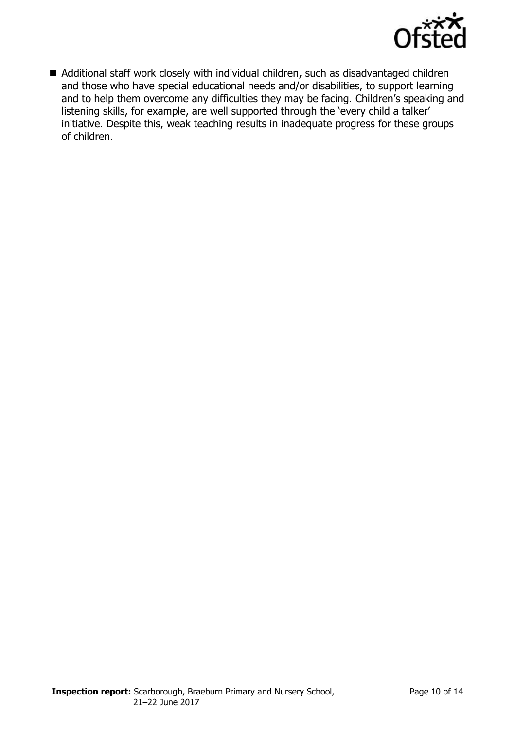

■ Additional staff work closely with individual children, such as disadvantaged children and those who have special educational needs and/or disabilities, to support learning and to help them overcome any difficulties they may be facing. Children's speaking and listening skills, for example, are well supported through the 'every child a talker' initiative. Despite this, weak teaching results in inadequate progress for these groups of children.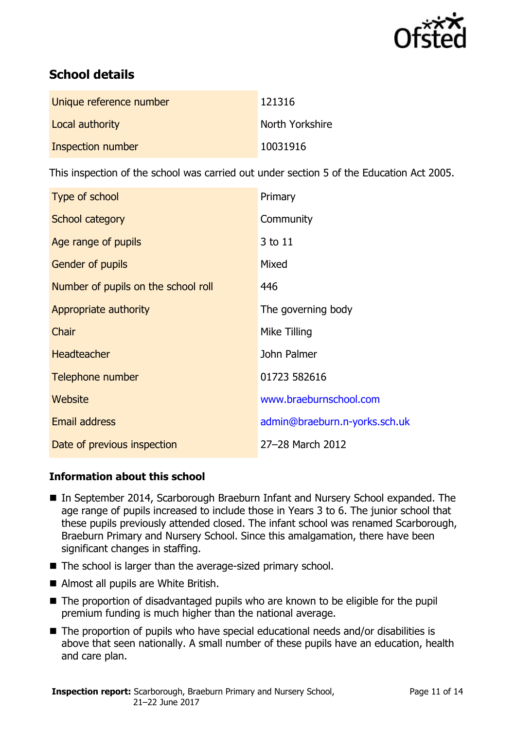

# **School details**

| Unique reference number | 121316          |
|-------------------------|-----------------|
| Local authority         | North Yorkshire |
| Inspection number       | 10031916        |

This inspection of the school was carried out under section 5 of the Education Act 2005.

| Type of school                      | Primary                       |
|-------------------------------------|-------------------------------|
| School category                     | Community                     |
| Age range of pupils                 | 3 to 11                       |
| <b>Gender of pupils</b>             | Mixed                         |
| Number of pupils on the school roll | 446                           |
| Appropriate authority               | The governing body            |
| Chair                               | Mike Tilling                  |
| <b>Headteacher</b>                  | John Palmer                   |
| Telephone number                    | 01723 582616                  |
| Website                             | www.braeburnschool.com        |
| <b>Email address</b>                | admin@braeburn.n-yorks.sch.uk |
| Date of previous inspection         | 27-28 March 2012              |

#### **Information about this school**

- In September 2014, Scarborough Braeburn Infant and Nursery School expanded. The age range of pupils increased to include those in Years 3 to 6. The junior school that these pupils previously attended closed. The infant school was renamed Scarborough, Braeburn Primary and Nursery School. Since this amalgamation, there have been significant changes in staffing.
- The school is larger than the average-sized primary school.
- Almost all pupils are White British.
- The proportion of disadvantaged pupils who are known to be eligible for the pupil premium funding is much higher than the national average.
- The proportion of pupils who have special educational needs and/or disabilities is above that seen nationally. A small number of these pupils have an education, health and care plan.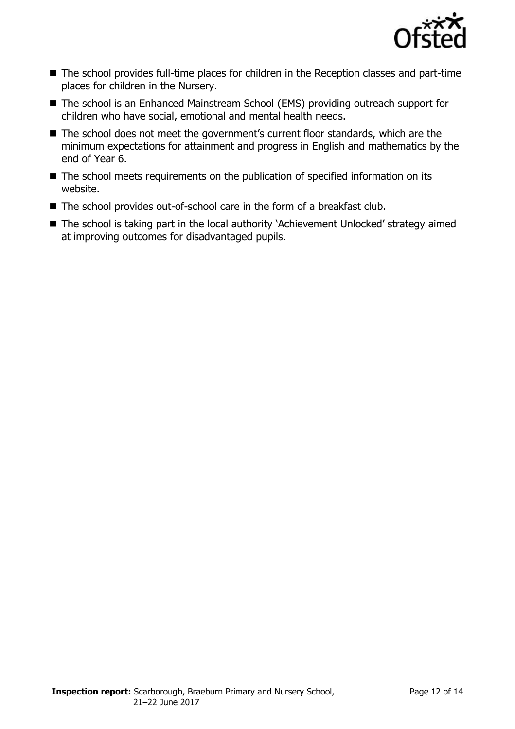

- The school provides full-time places for children in the Reception classes and part-time places for children in the Nursery.
- The school is an Enhanced Mainstream School (EMS) providing outreach support for children who have social, emotional and mental health needs.
- The school does not meet the government's current floor standards, which are the minimum expectations for attainment and progress in English and mathematics by the end of Year 6.
- The school meets requirements on the publication of specified information on its website.
- The school provides out-of-school care in the form of a breakfast club.
- The school is taking part in the local authority 'Achievement Unlocked' strategy aimed at improving outcomes for disadvantaged pupils.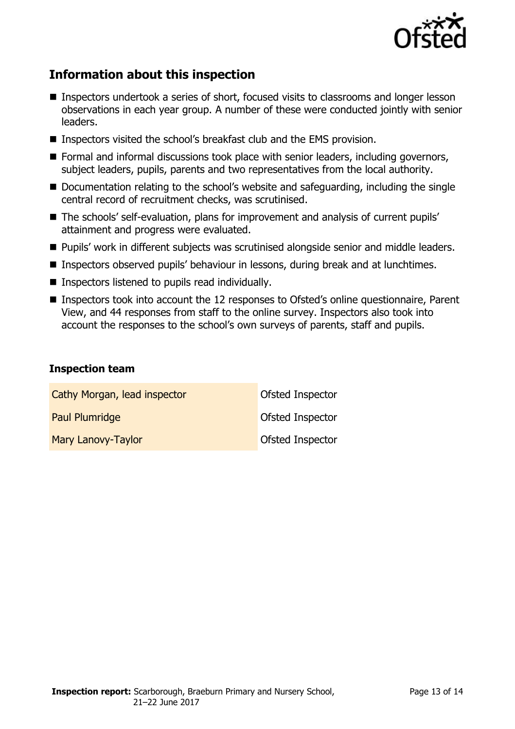

# **Information about this inspection**

- Inspectors undertook a series of short, focused visits to classrooms and longer lesson observations in each year group. A number of these were conducted jointly with senior leaders.
- Inspectors visited the school's breakfast club and the EMS provision.
- Formal and informal discussions took place with senior leaders, including governors, subject leaders, pupils, parents and two representatives from the local authority.
- Documentation relating to the school's website and safeguarding, including the single central record of recruitment checks, was scrutinised.
- The schools' self-evaluation, plans for improvement and analysis of current pupils' attainment and progress were evaluated.
- **Pupils' work in different subjects was scrutinised alongside senior and middle leaders.**
- **Inspectors observed pupils' behaviour in lessons, during break and at lunchtimes.**
- $\blacksquare$  Inspectors listened to pupils read individually.
- Inspectors took into account the 12 responses to Ofsted's online questionnaire, Parent View, and 44 responses from staff to the online survey. Inspectors also took into account the responses to the school's own surveys of parents, staff and pupils.

#### **Inspection team**

| Cathy Morgan, lead inspector | <b>Ofsted Inspector</b> |
|------------------------------|-------------------------|
| Paul Plumridge               | <b>Ofsted Inspector</b> |
| Mary Lanovy-Taylor           | <b>Ofsted Inspector</b> |